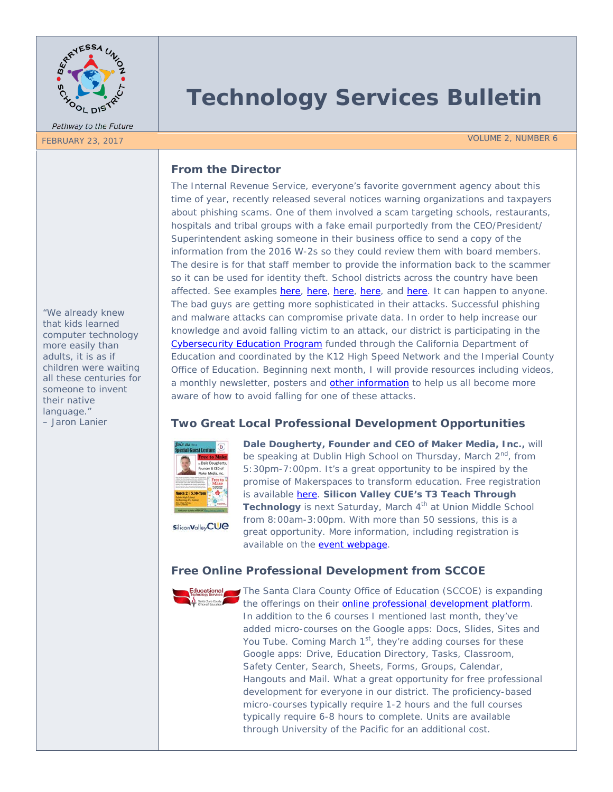

Pathway to the Future

# **Technology Services Bulletin**

FEBRUARY 23, 2017 VOLUME 2, NUMBER 6

## **From the Director**

The Internal Revenue Service, everyone's favorite government agency about this time of year, recently released several notices warning organizations and taxpayers about phishing scams. One of them involved a scam targeting schools, restaurants, hospitals and tribal groups with a fake email purportedly from the CEO/President/ Superintendent asking someone in their business office to send a copy of the information from the 2016 W-2s so they could review them with board members. The desire is for that staff member to provide the information back to the scammer so it can be used for identity theft. School districts across the country have been affected. See examples [here,](http://www.bradenton.com/news/local/article130785724.html) here, here, here, and [here.](http://www.mprnews.org/story/2017/02/11/data-breach-of-w2-forms-hits-thousands-of-bloomington-school-employees) It can happen to anyone. The bad guys are getting more sophisticated in their attacks. Successful phishing and malware attacks can compromise private data. In order to help increase our knowledge and avoid falling victim to an attack, our district is participating in the [Cybersecurity Education Program](http://www.k12tapd.org/cep) funded through the California Department of Education and coordinated by the K12 High Speed Network and the Imperial County Office of Education. Beginning next month, I will provide resources including videos, a monthly newsletter, posters and [other information](https://digitalguardian.com/blog/dont-get-hooked-how-recognize-and-avoid-phishing-attacks-infographic) to help us all become more aware of how to avoid falling for one of these attacks.

# **Two Great Local Professional Development Opportunities**



Silicon Valley CUC

**Dale Dougherty, Founder and CEO of Maker Media, Inc.,** will be speaking at Dublin High School on Thursday, March 2<sup>nd</sup>, from 5:30pm-7:00pm. It's a great opportunity to be inspired by the promise of Makerspaces to transform education. Free registration is available [here.](https://www.eventbrite.com/e/free-to-make-special-lecture-by-dale-dougherty-founder-of-the-make-movement-tickets-32282151785) **Silicon Valley CUE's T3 Teach Through**  Technology is next Saturday, March 4<sup>th</sup> at Union Middle School from 8:00am-3:00pm. With more than 50 sessions, this is a great opportunity. More information, including registration is available on the [event webpage.](http://www.svcue.net/teach-through-technology.html)

# **Free Online Professional Development from SCCOE**



The Santa Clara County Office of Education (SCCOE) is expanding the offerings on their [online professional development platform.](https://sccoe.catalog.instructure.com/) In addition to the 6 courses I mentioned last month, they've added micro-courses on the Google apps: Docs, Slides, Sites and You Tube. Coming March  $1<sup>st</sup>$ , they're adding courses for these Google apps: Drive, Education Directory, Tasks, Classroom, Safety Center, Search, Sheets, Forms, Groups, Calendar, Hangouts and Mail. What a great opportunity for free professional development for everyone in our district. The proficiency-based micro-courses typically require 1-2 hours and the full courses typically require 6-8 hours to complete. Units are available through University of the Pacific for an additional cost.

*"We already knew that kids learned computer technology more easily than adults, it is as if children were waiting all these centuries for someone to invent their native language." – Jaron Lanier*